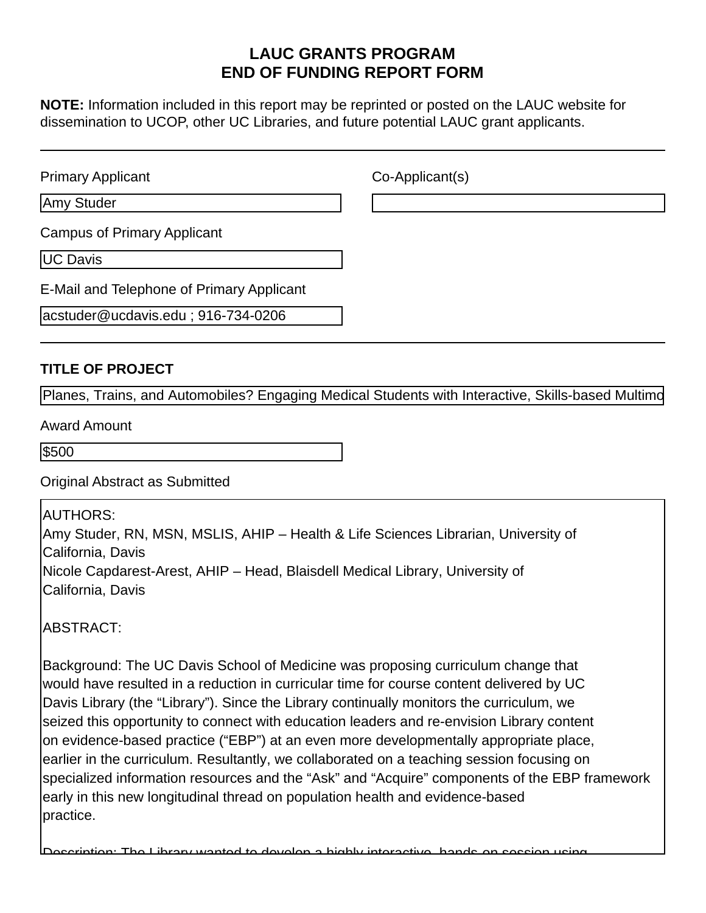# **LAUC GRANTS PROGRAM END OF FUNDING REPORT FORM**

**NOTE:** Information included in this report may be reprinted or posted on the LAUC website for dissemination to UCOP, other UC Libraries, and future potential LAUC grant applicants.

| <b>Primary Applicant</b>                  | Co-Applicant(s) |
|-------------------------------------------|-----------------|
| Amy Studer                                |                 |
| <b>Campus of Primary Applicant</b>        |                 |
| UC Davis                                  |                 |
| E-Mail and Telephone of Primary Applicant |                 |
| acstuder@ucdavis.edu; 916-734-0206        |                 |

#### **TITLE OF PROJECT**

Planes, Trains, and Automobiles? Engaging Medical Students with Interactive, Skills-based Multimo

Award Amount

\$500

Original Abstract as Submitted

AUTHORS:

Amy Studer, RN, MSN, MSLIS, AHIP – Health & Life Sciences Librarian, University of California, Davis Nicole Capdarest-Arest, AHIP – Head, Blaisdell Medical Library, University of

California, Davis

ABSTRACT:

Background: The UC Davis School of Medicine was proposing curriculum change that would have resulted in a reduction in curricular time for course content delivered by UC Davis Library (the "Library"). Since the Library continually monitors the curriculum, we seized this opportunity to connect with education leaders and re-envision Library content on evidence-based practice ("EBP") at an even more developmentally appropriate place, earlier in the curriculum. Resultantly, we collaborated on a teaching session focusing on specialized information resources and the "Ask" and "Acquire" components of the EBP framework early in this new longitudinal thread on population health and evidence-based practice.

Description: The Library wanted to develop a highly interactive, hands-on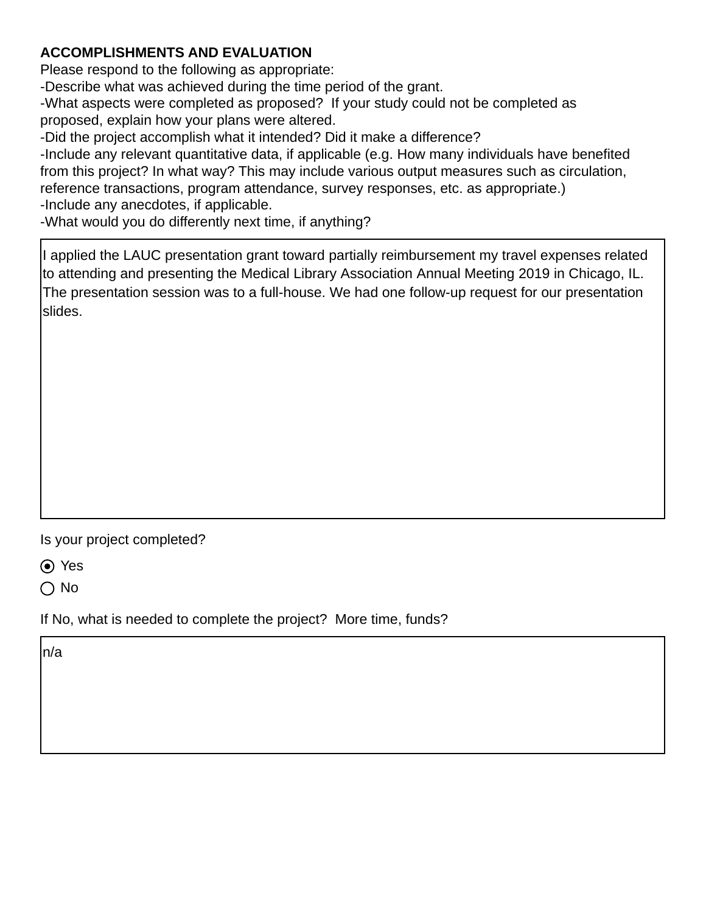# **ACCOMPLISHMENTS AND EVALUATION**

Please respond to the following as appropriate:

-Describe what was achieved during the time period of the grant.

-What aspects were completed as proposed? If your study could not be completed as proposed, explain how your plans were altered.

-Did the project accomplish what it intended? Did it make a difference?

-Include any relevant quantitative data, if applicable (e.g. How many individuals have benefited from this project? In what way? This may include various output measures such as circulation, reference transactions, program attendance, survey responses, etc. as appropriate.) -Include any anecdotes, if applicable.

-What would you do differently next time, if anything?

I applied the LAUC presentation grant toward partially reimbursement my travel expenses related to attending and presenting the Medical Library Association Annual Meeting 2019 in Chicago, IL. The presentation session was to a full-house. We had one follow-up request for our presentation slides.

Is your project completed?

Yes

 $\bigcap$  No

If No, what is needed to complete the project? More time, funds?

n/a